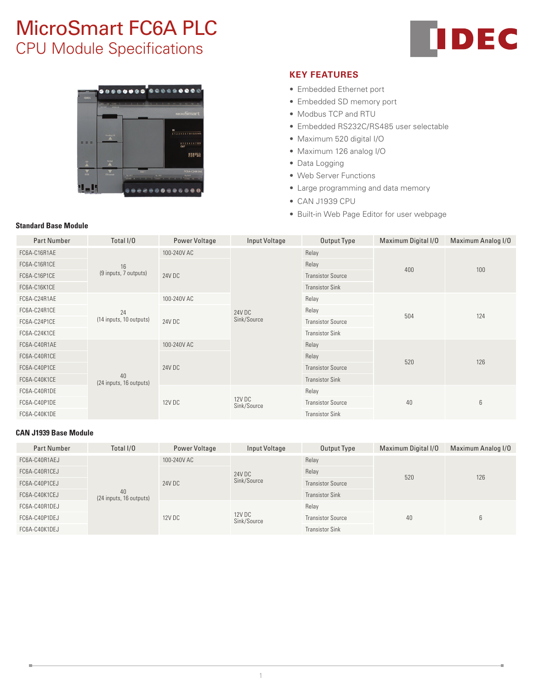# MicroSmart FC6A PLC CPU Module Specifications





#### **Standard Base Module**

#### **KEY FEATURES**

- Embedded Ethernet port
- Embedded SD memory port
- Modbus TCP and RTU
- Embedded RS232C/RS485 user selectable
- Maximum 520 digital I/O
- Maximum 126 analog I/O
- Data Logging
- • Web Server Functions
- Large programming and data memory
- • CAN J1939 CPU
- Built-in Web Page Editor for user webpage

| <b>Part Number</b> | Total I/O                     | Power Voltage | Input Voltage         | Output Type              | Maximum Digital I/O | Maximum Analog I/O |
|--------------------|-------------------------------|---------------|-----------------------|--------------------------|---------------------|--------------------|
| FC6A-C16R1AE       |                               | 100-240V AC   |                       | Relay                    |                     |                    |
| FC6A-C16R1CE       | 16                            |               |                       | Relay                    | 400                 | 100                |
| FC6A-C16P1CE       | (9 inputs, 7 outputs)         | 24V DC        |                       | <b>Transistor Source</b> |                     |                    |
| FC6A-C16K1CE       |                               |               |                       | <b>Transistor Sink</b>   |                     |                    |
| FC6A-C24R1AE       |                               | 100-240V AC   |                       | Relay                    |                     | 124                |
| FC6A-C24R1CE       | 24                            |               | 24V DC<br>Sink/Source | Relay                    | 504                 |                    |
| FC6A-C24P1CE       | (14 inputs, 10 outputs)       | 24V DC        |                       | <b>Transistor Source</b> |                     |                    |
| FC6A-C24K1CE       |                               |               |                       | <b>Transistor Sink</b>   |                     |                    |
| FC6A-C40R1AE       |                               | 100-240V AC   |                       | Relay                    |                     | 126                |
| FC6A-C40R1CE       |                               |               |                       | Relay                    | 520                 |                    |
| FC6A-C40P1CE       |                               | 24V DC        |                       | <b>Transistor Source</b> |                     |                    |
| FC6A-C40K1CE       | 40<br>(24 inputs, 16 outputs) |               |                       | <b>Transistor Sink</b>   |                     |                    |
| FC6A-C40R1DE       |                               |               | 12V DC<br>Sink/Source | Relay                    | 40                  | 6                  |
| FC6A-C40P1DE       |                               | 12V DC        |                       | <b>Transistor Source</b> |                     |                    |
| FC6A-C40K1DE       |                               |               |                       | <b>Transistor Sink</b>   |                     |                    |

#### **CAN J1939 Base Module**

| Part Number   | Total I/O                     | Power Voltage | Input Voltage         | Output Type              | Maximum Digital I/O | Maximum Analog I/O |
|---------------|-------------------------------|---------------|-----------------------|--------------------------|---------------------|--------------------|
| FC6A-C40R1AEJ |                               | 100-240V AC   |                       | Relay                    |                     |                    |
| FC6A-C40R1CEJ |                               |               | 24V DC                | Relay                    | 520                 | 126<br>6           |
| FC6A-C40P1CEJ |                               | 24V DC        | Sink/Source           | <b>Transistor Source</b> | 40                  |                    |
| FC6A-C40K1CEJ | 40<br>(24 inputs, 16 outputs) |               |                       | <b>Transistor Sink</b>   |                     |                    |
| FC6A-C40R1DEJ |                               |               | 12V DC<br>Sink/Source | Relay                    |                     |                    |
| FC6A-C40P1DEJ |                               | 12V DC        |                       | <b>Transistor Source</b> |                     |                    |
| FC6A-C40K1DEJ |                               |               |                       | <b>Transistor Sink</b>   |                     |                    |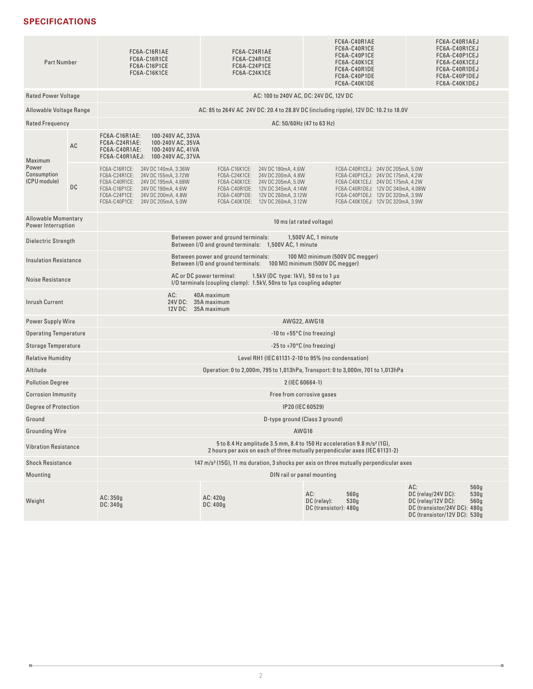## **SPECIFICATIONS**

| <b>Part Number</b>                                   |           | FC6A-C16R1AE<br>FC6A-C16R1CE<br>FC6A-C16P1CE<br>FC6A-C16K1CE                                                                                                                                                                  | FC6A-C24R1AE<br>FC6A-C24R1CE<br>FC6A-C24P1CE<br>FC6A-C24K1CE                                                                                                                                                               | FC6A-C40R1AE<br>FC6A-C40R1CE<br>FC6A-C40P1CE<br>FC6A-C40K1CE<br>FC6A-C40R1DE<br>FC6A-C40P1DE<br>FC6A-C40K1DE                                                                                                                | FC6A-C40R1AEJ<br>FC6A-C40R1CEJ<br>FC6A-C40P1CEJ<br>FC6A-C40K1CEJ<br>FC6A-C40R1DEJ<br>FC6A-C40P1DEJ<br>FC6A-C40K1DEJ      |  |
|------------------------------------------------------|-----------|-------------------------------------------------------------------------------------------------------------------------------------------------------------------------------------------------------------------------------|----------------------------------------------------------------------------------------------------------------------------------------------------------------------------------------------------------------------------|-----------------------------------------------------------------------------------------------------------------------------------------------------------------------------------------------------------------------------|--------------------------------------------------------------------------------------------------------------------------|--|
| <b>Rated Power Voltage</b>                           |           |                                                                                                                                                                                                                               |                                                                                                                                                                                                                            | AC: 100 to 240V AC, DC: 24V DC, 12V DC                                                                                                                                                                                      |                                                                                                                          |  |
| Allowable Voltage Range                              |           |                                                                                                                                                                                                                               | AC: 85 to 264V AC 24V DC: 20.4 to 28.8V DC (including ripple), 12V DC: 10.2 to 18.0V                                                                                                                                       |                                                                                                                                                                                                                             |                                                                                                                          |  |
| <b>Rated Frequency</b>                               |           |                                                                                                                                                                                                                               | AC: 50/60Hz (47 to 63 Hz)                                                                                                                                                                                                  |                                                                                                                                                                                                                             |                                                                                                                          |  |
| Maximum                                              | AC        | FC6A-C16R1AE:<br>100-240V AC, 33VA<br>FC6A-C24R1AE:<br>100-240V AC, 35VA<br>FC6A-C40R1AE:<br>100-240V AC, 41VA<br>FC6A-C40R1AEJ:<br>100-240V AC, 37VA                                                                         |                                                                                                                                                                                                                            |                                                                                                                                                                                                                             |                                                                                                                          |  |
| Power<br>Consumption<br>(CPU module)                 | <b>DC</b> | FC6A-C16R1CE: 24V DC 140mA, 3.36W<br>FC6A-C24R1CE:<br>24V DC 155mA, 3.72W<br>FC6A-C40R1CE: 24V DC 195mA, 4.68W<br>FC6A-C16P1CE:<br>24V DC 190mA, 4.6W<br>FC6A-C24P1CE: 24V DC 200mA, 4.8W<br>FC6A-C40P1CE: 24V DC 205mA, 5.0W | 24V DC 190mA, 4.6W<br>FC6A-C16K1CE:<br>FC6A-C24K1CE: 24V DC 200mA, 4.8W<br>FC6A-C40K1CE: 24V DC 205mA, 5.0W<br>FC6A-C40R1DE: 12V DC 345mA, 4.14W<br>FC6A-C40P1DE: 12V DC 260mA, 3.12W<br>FC6A-C40K1DE: 12V DC 260mA, 3.12W | FC6A-C40R1CEJ: 24V DC 205mA, 5.0W<br>FC6A-C40P1CEJ: 24V DC 175mA, 4.2W<br>FC6A-C40K1CEJ: 24V DC 175mA, 4.2W<br>FC6A-C40R1DEJ: 12V DC 340mA, 4.08W<br>FC6A-C40P1DEJ: 12V DC 320mA, 3.9W<br>FC6A-C40K1DEJ: 12V DC 320mA, 3.9W |                                                                                                                          |  |
| <b>Allowable Momentary</b><br>Power Interruption     |           |                                                                                                                                                                                                                               | 10 ms (at rated voltage)                                                                                                                                                                                                   |                                                                                                                                                                                                                             |                                                                                                                          |  |
| Dielectric Strength                                  |           | Between power and ground terminals:<br>1,500V AC, 1 minute<br>Between I/O and ground terminals: 1,500V AC, 1 minute                                                                                                           |                                                                                                                                                                                                                            |                                                                                                                                                                                                                             |                                                                                                                          |  |
| <b>Insulation Resistance</b>                         |           | Between power and ground terminals:<br>100 M $\Omega$ minimum (500V DC megger)<br>Between I/O and ground terminals: $100 M\Omega$ minimum (500V DC megger)                                                                    |                                                                                                                                                                                                                            |                                                                                                                                                                                                                             |                                                                                                                          |  |
| Noise Resistance                                     |           |                                                                                                                                                                                                                               | AC or DC power terminal:<br>1.5kV (DC type: 1kV), 50 ns to 1 $\mu$ s<br>I/O terminals (coupling clamp): 1.5kV, 50ns to 1µs coupling adapter                                                                                |                                                                                                                                                                                                                             |                                                                                                                          |  |
| <b>Inrush Current</b>                                |           | AC:<br>24V DC: 35A maximum<br>12V DC: 35A maximum                                                                                                                                                                             | 40A maximum                                                                                                                                                                                                                |                                                                                                                                                                                                                             |                                                                                                                          |  |
| <b>Power Supply Wire</b>                             |           |                                                                                                                                                                                                                               | AWG22, AWG18                                                                                                                                                                                                               |                                                                                                                                                                                                                             |                                                                                                                          |  |
| <b>Operating Temperature</b>                         |           |                                                                                                                                                                                                                               | $-10$ to $+55^{\circ}$ C (no freezing)                                                                                                                                                                                     |                                                                                                                                                                                                                             |                                                                                                                          |  |
| <b>Storage Temperature</b>                           |           |                                                                                                                                                                                                                               | $-25$ to $+70^{\circ}$ C (no freezing)                                                                                                                                                                                     |                                                                                                                                                                                                                             |                                                                                                                          |  |
| <b>Relative Humidity</b>                             |           |                                                                                                                                                                                                                               | Level RH1 (IEC 61131-2-10 to 95% (no condensation)                                                                                                                                                                         |                                                                                                                                                                                                                             |                                                                                                                          |  |
| Altitude                                             |           |                                                                                                                                                                                                                               | Operation: 0 to 2,000m, 795 to 1,013hPa, Transport: 0 to 3,000m, 701 to 1,013hPa                                                                                                                                           |                                                                                                                                                                                                                             |                                                                                                                          |  |
| <b>Pollution Degree</b>                              |           |                                                                                                                                                                                                                               | 2 (IEC 60664-1)                                                                                                                                                                                                            |                                                                                                                                                                                                                             |                                                                                                                          |  |
| <b>Corrosion Immunity</b>                            |           |                                                                                                                                                                                                                               | Free from corrosive gases                                                                                                                                                                                                  |                                                                                                                                                                                                                             |                                                                                                                          |  |
| <b>Degree of Protection</b>                          |           |                                                                                                                                                                                                                               | IP20 (IEC 60529)                                                                                                                                                                                                           |                                                                                                                                                                                                                             |                                                                                                                          |  |
| Ground                                               |           |                                                                                                                                                                                                                               |                                                                                                                                                                                                                            | D-type ground (Class 3 ground)                                                                                                                                                                                              |                                                                                                                          |  |
| <b>Grounding Wire</b><br><b>Vibration Resistance</b> |           |                                                                                                                                                                                                                               | AWG16                                                                                                                                                                                                                      | 5 to 8.4 Hz amplitude 3.5 mm, 8.4 to 150 Hz acceleration 9.8 m/s <sup>2</sup> (1G),                                                                                                                                         |                                                                                                                          |  |
| <b>Shock Resistance</b>                              |           |                                                                                                                                                                                                                               | $147 \text{ m/s}^2$ (15G), 11 ms duration, 3 shocks per axis on three mutually perpendicular axes                                                                                                                          | 2 hours per axis on each of three mutually perpendicular axes (IEC 61131-2)                                                                                                                                                 |                                                                                                                          |  |
| Mounting                                             |           |                                                                                                                                                                                                                               | DIN rail or panel mounting                                                                                                                                                                                                 |                                                                                                                                                                                                                             |                                                                                                                          |  |
|                                                      |           |                                                                                                                                                                                                                               |                                                                                                                                                                                                                            |                                                                                                                                                                                                                             | AC:<br>560g                                                                                                              |  |
| Weight                                               |           | AC:350g<br>DC: 340g                                                                                                                                                                                                           | AC:420g<br>DC: 400g                                                                                                                                                                                                        | AC:<br>560g<br>DC (relay):<br>530g<br>DC (transistor): 480q                                                                                                                                                                 | 530g<br>DC (relay/24V DC):<br>DC (relay/12V DC):<br>560g<br>DC (transistor/24V DC): 480g<br>DC (transistor/12V DC): 530g |  |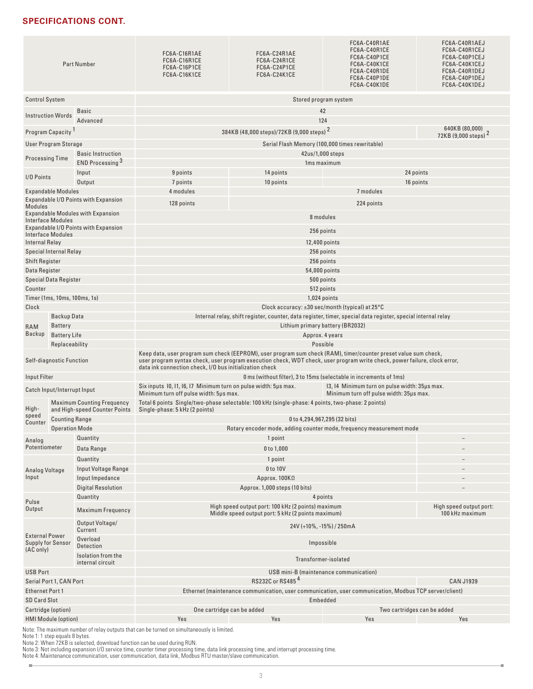## **SPECIFICATIONS CONT.**

| <b>Part Number</b>                         |                               |                                          | FC6A-C16R1AE<br>FC6A-C16R1CE<br>FC6A-C16P1CE<br>FC6A-C16K1CE                                                                                                                                                                                                                                            | FC6A-C24R1AE<br>FC6A-C24R1CE<br>FC6A-C24P1CE<br>FC6A-C24K1CE                                             | FC6A-C40R1AE<br>FC6A-C40R1CE<br>FC6A-C40P1CE<br>FC6A-C40K1CE<br>FC6A-C40R1DE<br>FC6A-C40P1DE<br>FC6A-C40K1DE | FC6A-C40R1AEJ<br>FC6A-C40R1CEJ<br>FC6A-C40P1CEJ<br>FC6A-C40K1CEJ<br>FC6A-C40R1DEJ<br>FC6A-C40P1DEJ<br>FC6A-C40K1DEJ |  |  |
|--------------------------------------------|-------------------------------|------------------------------------------|---------------------------------------------------------------------------------------------------------------------------------------------------------------------------------------------------------------------------------------------------------------------------------------------------------|----------------------------------------------------------------------------------------------------------|--------------------------------------------------------------------------------------------------------------|---------------------------------------------------------------------------------------------------------------------|--|--|
| <b>Control System</b>                      |                               |                                          |                                                                                                                                                                                                                                                                                                         | Stored program system                                                                                    |                                                                                                              |                                                                                                                     |  |  |
| <b>Instruction Words</b>                   |                               | <b>Basic</b>                             |                                                                                                                                                                                                                                                                                                         | 42                                                                                                       |                                                                                                              |                                                                                                                     |  |  |
|                                            |                               | Advanced                                 |                                                                                                                                                                                                                                                                                                         | 124                                                                                                      |                                                                                                              | 640KB (80,000)                                                                                                      |  |  |
|                                            | Program Capacity <sup>1</sup> |                                          |                                                                                                                                                                                                                                                                                                         | 384KB (48,000 steps)/72KB (9,000 steps) <sup>2</sup>                                                     |                                                                                                              | 72KB (9,000 steps) <sup>2</sup>                                                                                     |  |  |
|                                            | User Program Storage          |                                          |                                                                                                                                                                                                                                                                                                         | Serial Flash Memory (100,000 times rewritable)                                                           |                                                                                                              |                                                                                                                     |  |  |
| <b>Processing Time</b>                     |                               | <b>Basic Instruction</b>                 |                                                                                                                                                                                                                                                                                                         | 42us/1,000 steps                                                                                         |                                                                                                              |                                                                                                                     |  |  |
|                                            |                               | <b>END Processing 3</b>                  |                                                                                                                                                                                                                                                                                                         | 1ms maximum                                                                                              |                                                                                                              |                                                                                                                     |  |  |
| I/O Points                                 |                               | Input<br>Output                          | 9 points<br>7 points                                                                                                                                                                                                                                                                                    | 14 points<br>10 points                                                                                   | 24 points<br>16 points                                                                                       |                                                                                                                     |  |  |
|                                            | <b>Expandable Modules</b>     |                                          | 4 modules                                                                                                                                                                                                                                                                                               |                                                                                                          | 7 modules                                                                                                    |                                                                                                                     |  |  |
|                                            |                               | Expandable I/O Points with Expansion     |                                                                                                                                                                                                                                                                                                         |                                                                                                          |                                                                                                              |                                                                                                                     |  |  |
| Modules                                    |                               |                                          | 128 points                                                                                                                                                                                                                                                                                              |                                                                                                          | 224 points                                                                                                   |                                                                                                                     |  |  |
|                                            | Interface Modules             | <b>Expandable Modules with Expansion</b> |                                                                                                                                                                                                                                                                                                         | 8 modules                                                                                                |                                                                                                              |                                                                                                                     |  |  |
| <b>Interface Modules</b>                   |                               | Expandable I/O Points with Expansion     |                                                                                                                                                                                                                                                                                                         | 256 points                                                                                               |                                                                                                              |                                                                                                                     |  |  |
| <b>Internal Relay</b>                      |                               |                                          |                                                                                                                                                                                                                                                                                                         | 12,400 points                                                                                            |                                                                                                              |                                                                                                                     |  |  |
|                                            | <b>Special Internal Relay</b> |                                          |                                                                                                                                                                                                                                                                                                         | 256 points                                                                                               |                                                                                                              |                                                                                                                     |  |  |
| <b>Shift Register</b>                      |                               |                                          |                                                                                                                                                                                                                                                                                                         | 256 points                                                                                               |                                                                                                              |                                                                                                                     |  |  |
| Data Register                              |                               |                                          |                                                                                                                                                                                                                                                                                                         | 54,000 points                                                                                            |                                                                                                              |                                                                                                                     |  |  |
| Counter                                    | <b>Special Data Register</b>  |                                          |                                                                                                                                                                                                                                                                                                         | 500 points                                                                                               |                                                                                                              |                                                                                                                     |  |  |
|                                            | Timer (1ms, 10ms, 100ms, 1s)  |                                          | 512 points<br>1,024 points                                                                                                                                                                                                                                                                              |                                                                                                          |                                                                                                              |                                                                                                                     |  |  |
| Clock                                      |                               |                                          |                                                                                                                                                                                                                                                                                                         | Clock accuracy: $\pm 30$ sec/month (typical) at 25 $\degree$ C                                           |                                                                                                              |                                                                                                                     |  |  |
|                                            | Backup Data                   |                                          | Internal relay, shift register, counter, data register, timer, special data register, special internal relay                                                                                                                                                                                            |                                                                                                          |                                                                                                              |                                                                                                                     |  |  |
| RAM                                        | <b>Battery</b>                |                                          | Lithium primary battery (BR2032)                                                                                                                                                                                                                                                                        |                                                                                                          |                                                                                                              |                                                                                                                     |  |  |
| Backup                                     | <b>Battery Life</b>           |                                          | Approx. 4 years<br>Possible                                                                                                                                                                                                                                                                             |                                                                                                          |                                                                                                              |                                                                                                                     |  |  |
|                                            | Replaceability                |                                          |                                                                                                                                                                                                                                                                                                         |                                                                                                          |                                                                                                              |                                                                                                                     |  |  |
|                                            | Self-diagnostic Function      |                                          | Keep data, user program sum check (EEPROM), user program sum check (RAM), timer/counter preset value sum check,<br>user program syntax check, user program execution check, WDT check, user program write check, power failure, clock error,<br>data ink connection check, I/O bus initialization check |                                                                                                          |                                                                                                              |                                                                                                                     |  |  |
| <b>Input Filter</b>                        |                               |                                          | 0 ms (without filter), 3 to 15ms (selectable in increments of 1ms)                                                                                                                                                                                                                                      |                                                                                                          |                                                                                                              |                                                                                                                     |  |  |
|                                            | Catch Input/Interrupt Input   | <b>Maximum Counting Frequency</b>        | Six inputs 10, 11, 16, 17 Minimum turn on pulse width: 5µs max.<br>13, 14 Minimum turn on pulse width: 35µs max.<br>Minimum turn off pulse width: 5µs max.<br>Minimum turn off pulse width: 35us max.                                                                                                   |                                                                                                          |                                                                                                              |                                                                                                                     |  |  |
| High-                                      |                               | and High-speed Counter Points            | Total 6 points Single/two-phase selectable: 100 kHz (single-phase: 4 points, two-phase: 2 points)<br>Single-phase: 5 kHz (2 points)                                                                                                                                                                     |                                                                                                          |                                                                                                              |                                                                                                                     |  |  |
| speed<br>Counter                           | <b>Counting Range</b>         |                                          | 0 to 4,294,967,295 (32 bits)                                                                                                                                                                                                                                                                            |                                                                                                          |                                                                                                              |                                                                                                                     |  |  |
|                                            | <b>Operation Mode</b>         |                                          |                                                                                                                                                                                                                                                                                                         | Rotary encoder mode, adding counter mode, frequency measurement mode                                     |                                                                                                              |                                                                                                                     |  |  |
| Analog<br>Potentiometer                    |                               | Quantity                                 |                                                                                                                                                                                                                                                                                                         | 1 point                                                                                                  |                                                                                                              |                                                                                                                     |  |  |
|                                            |                               | Data Range                               |                                                                                                                                                                                                                                                                                                         | 0 to 1,000                                                                                               |                                                                                                              |                                                                                                                     |  |  |
|                                            |                               | Quantity<br>Input Voltage Range          |                                                                                                                                                                                                                                                                                                         | 1 point<br>0 to 10V                                                                                      |                                                                                                              |                                                                                                                     |  |  |
| Analog Voltage<br>Input                    |                               | Input Impedance                          |                                                                                                                                                                                                                                                                                                         | Approx. 100ΚΩ                                                                                            |                                                                                                              |                                                                                                                     |  |  |
|                                            |                               | <b>Digital Resolution</b>                |                                                                                                                                                                                                                                                                                                         | Approx. 1,000 steps (10 bits)                                                                            |                                                                                                              |                                                                                                                     |  |  |
|                                            |                               | Quantity                                 |                                                                                                                                                                                                                                                                                                         | 4 points                                                                                                 |                                                                                                              |                                                                                                                     |  |  |
| Pulse<br>Output                            |                               | <b>Maximum Frequency</b>                 |                                                                                                                                                                                                                                                                                                         | High speed output port: 100 kHz (2 points) maximum<br>Middle speed output port: 5 kHz (2 points maximum) |                                                                                                              | High speed output port:<br>100 kHz maximum                                                                          |  |  |
|                                            |                               | Output Voltage/<br>Current               |                                                                                                                                                                                                                                                                                                         | 24V (+10%, -15%) / 250mA                                                                                 |                                                                                                              |                                                                                                                     |  |  |
| <b>External Power</b><br>Supply for Sensor |                               | Overload                                 |                                                                                                                                                                                                                                                                                                         | Impossible                                                                                               |                                                                                                              |                                                                                                                     |  |  |
| (AC only)                                  |                               | Detection<br>Isolation from the          |                                                                                                                                                                                                                                                                                                         | Transformer-isolated                                                                                     |                                                                                                              |                                                                                                                     |  |  |
| <b>USB Port</b>                            |                               | internal circuit                         |                                                                                                                                                                                                                                                                                                         | USB mini-B (maintenance communication)                                                                   |                                                                                                              |                                                                                                                     |  |  |
|                                            | Serial Port 1, CAN Port       |                                          |                                                                                                                                                                                                                                                                                                         | RS232C or RS485 <sup>4</sup>                                                                             |                                                                                                              | <b>CAN J1939</b>                                                                                                    |  |  |
| <b>Ethernet Port 1</b>                     |                               |                                          |                                                                                                                                                                                                                                                                                                         | Ethernet (maintenance communication, user communication, user communication, Modbus TCP server/client)   |                                                                                                              |                                                                                                                     |  |  |
| <b>SD Card Slot</b>                        |                               |                                          |                                                                                                                                                                                                                                                                                                         | Embedded                                                                                                 |                                                                                                              |                                                                                                                     |  |  |
| Cartridge (option)                         |                               |                                          |                                                                                                                                                                                                                                                                                                         | One cartridge can be added                                                                               | Two cartridges can be added                                                                                  |                                                                                                                     |  |  |
|                                            | <b>HMI Module (option)</b>    |                                          | Yes                                                                                                                                                                                                                                                                                                     | Yes                                                                                                      | Yes                                                                                                          | Yes                                                                                                                 |  |  |
|                                            |                               |                                          |                                                                                                                                                                                                                                                                                                         |                                                                                                          |                                                                                                              |                                                                                                                     |  |  |

Ű.

Note: The maximum number of relay outputs that can be turned on simultaneously is limited.<br>Note 1: 1 step equals 8 bytes.<br>Note 2: When 72KB is selected, download function can be used during RUN.<br>Note 3: Not including expan

ż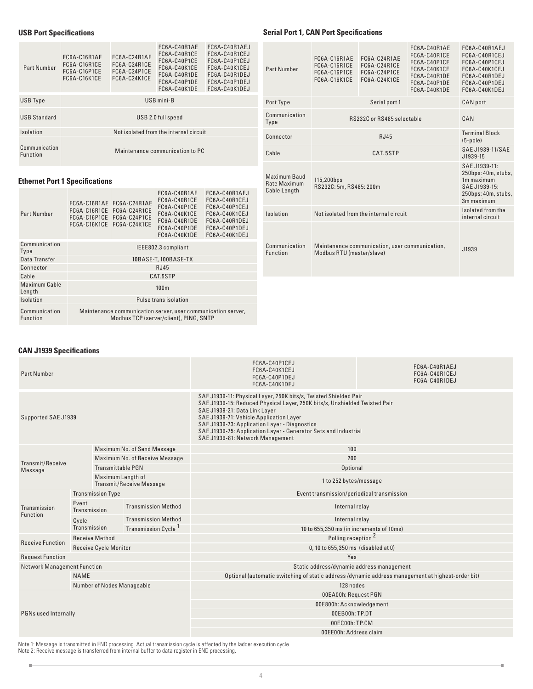## **USB Port Specifications**

|  |  |  |  | <b>Serial Port 1, CAN Port Specifications</b> |
|--|--|--|--|-----------------------------------------------|
|--|--|--|--|-----------------------------------------------|

| <b>Part Number</b>               | FC6A-C16R1AE<br>FC6A-C16R1CE<br>FC6A-C16P1CE<br>FC6A-C16K1CE | FC6A-C24R1AE<br>FC6A-C24R1CE<br>FC6A-C24P1CE<br>FC6A-C24K1CE | FC6A-C40R1AE<br>FC6A-C40R1CE<br>FC6A-C40P1CE<br>FC6A-C40K1CE<br>FC6A-C40R1DE<br>FC6A-C40P1DE<br>FC6A-C40K1DE | FC6A-C40R1AEJ<br>FC6A-C40R1CEJ<br>FC6A-C40P1CEJ<br>FC6A-C40K1CEJ<br>FC6A-C40R1DEJ<br>FC6A-C40P1DEJ<br>FC6A-C40K1DEJ |  |
|----------------------------------|--------------------------------------------------------------|--------------------------------------------------------------|--------------------------------------------------------------------------------------------------------------|---------------------------------------------------------------------------------------------------------------------|--|
| <b>USB Type</b>                  |                                                              |                                                              | USB mini-B                                                                                                   |                                                                                                                     |  |
| <b>USB Standard</b>              |                                                              |                                                              | USB 2.0 full speed                                                                                           |                                                                                                                     |  |
| Isolation                        |                                                              |                                                              | Not isolated from the internal circuit                                                                       |                                                                                                                     |  |
| Communication<br><b>Function</b> | Maintenance communication to PC                              |                                                              |                                                                                                              |                                                                                                                     |  |
|                                  |                                                              |                                                              |                                                                                                              |                                                                                                                     |  |

## **Ethernet Port 1 Specifications**

| <b>Part Number</b>               |                                                                                                        | FC6A-C16R1AE FC6A-C24R1AE<br>FC6A-C16R1CE FC6A-C24R1CE<br>FC6A-C16P1CE FC6A-C24P1CE<br>FC6A-C16K1CE FC6A-C24K1CE | FC6A-C40R1AE<br>FC6A-C40R1CE<br>FC6A-C40P1CE<br>FC6A-C40K1CE<br>FC6A-C40R1DE<br>FC6A-C40P1DE<br>FC6A-C40K1DE | FC6A-C40R1AEJ<br>FC6A-C40R1CEJ<br>FC6A-C40P1CEJ<br>FC6A-C40K1CEJ<br>FC6A-C40R1DEJ<br>FC6A-C40P1DEJ<br>FC6A-C40K1DEJ |  |  |  |
|----------------------------------|--------------------------------------------------------------------------------------------------------|------------------------------------------------------------------------------------------------------------------|--------------------------------------------------------------------------------------------------------------|---------------------------------------------------------------------------------------------------------------------|--|--|--|
| Communication<br><b>Type</b>     |                                                                                                        |                                                                                                                  | IEEE802.3 compliant                                                                                          |                                                                                                                     |  |  |  |
| Data Transfer                    |                                                                                                        |                                                                                                                  | 10BASE-T, 100BASE-TX                                                                                         |                                                                                                                     |  |  |  |
| Connector                        |                                                                                                        |                                                                                                                  | <b>RJ45</b>                                                                                                  |                                                                                                                     |  |  |  |
| Cable                            |                                                                                                        |                                                                                                                  | CAT.5STP                                                                                                     |                                                                                                                     |  |  |  |
| Maximum Cable<br>Length          |                                                                                                        | 100 <sub>m</sub>                                                                                                 |                                                                                                              |                                                                                                                     |  |  |  |
| Isolation                        | Pulse trans isolation                                                                                  |                                                                                                                  |                                                                                                              |                                                                                                                     |  |  |  |
| Communication<br><b>Function</b> | Maintenance communication server, user communication server,<br>Modbus TCP (server/client), PING, SNTP |                                                                                                                  |                                                                                                              |                                                                                                                     |  |  |  |

| Part Number                                  | FC6A-C16R1AE<br>FC6A-C16R1CE<br>FC6A-C16P1CE<br>FC6A-C16K1CE                | FC6A-C24R1AE<br>FC6A-C24R1CE<br>FC6A-C24P1CE<br>FC6A-C24K1CE                                             | FC6A-C40R1AE<br>FC6A-C40R1CE<br>FC6A-C40P1CE<br>FC6A-C40K1CE<br>FC6A-C40R1DE<br>FC6A-C40P1DE<br>FC6A-C40K1DE | FC6A-C40R1AEJ<br>FC6A-C40R1CEJ<br>FC6A-C40P1CEJ<br>FC6A-C40K1CEJ<br>FC6A-C40R1DEJ<br>FC6A-C40P1DEJ<br>FC6A-C40K1DEJ |
|----------------------------------------------|-----------------------------------------------------------------------------|----------------------------------------------------------------------------------------------------------|--------------------------------------------------------------------------------------------------------------|---------------------------------------------------------------------------------------------------------------------|
| Port Type                                    |                                                                             | Serial port 1                                                                                            |                                                                                                              | <b>CAN</b> port                                                                                                     |
| Communication<br>Type                        |                                                                             | RS232C or RS485 selectable                                                                               |                                                                                                              | CAN                                                                                                                 |
| Connector                                    |                                                                             | <b>RJ45</b>                                                                                              |                                                                                                              | <b>Terminal Block</b><br>$(5-pole)$                                                                                 |
| Cable                                        |                                                                             | SAE J1939-11/SAE<br>J1939-15                                                                             |                                                                                                              |                                                                                                                     |
| Maximum Baud<br>Rate Maximum<br>Cable Length | 115,200bps<br>RS232C: 5m, RS485: 200m                                       | SAE J1939-11:<br>250bps: 40m, stubs,<br>1m maximum<br>SAE J1939-15:<br>250bps: 40m, stubs,<br>3m maximum |                                                                                                              |                                                                                                                     |
| Isolation                                    | Not isolated from the internal circuit                                      | Isolated from the<br>internal circuit                                                                    |                                                                                                              |                                                                                                                     |
| Communication<br>Function                    | Maintenance communication, user communication,<br>Modbus RTU (master/slave) |                                                                                                          |                                                                                                              | J1939                                                                                                               |

ż

#### **CAN J1939 Specifications**

I.

| <b>Part Number</b>                 |                       |                                                      |                                 | FC6A-C40P1CEJ<br>FC6A-C40K1CEJ<br>FC6A-C40P1DEJ<br>FC6A-C40K1DEJ                                                                                                                                                                                                                                                                                                                   | FC6A-C40R1AEJ<br>FC6A-C40R1CEJ<br>FC6A-C40R1DEJ |  |  |
|------------------------------------|-----------------------|------------------------------------------------------|---------------------------------|------------------------------------------------------------------------------------------------------------------------------------------------------------------------------------------------------------------------------------------------------------------------------------------------------------------------------------------------------------------------------------|-------------------------------------------------|--|--|
| Supported SAE J1939                |                       |                                                      |                                 | SAE J1939-11: Physical Layer, 250K bits/s, Twisted Shielded Pair<br>SAE J1939-15: Reduced Physical Layer, 250K bits/s, Unshielded Twisted Pair<br>SAE J1939-21: Data Link Layer<br>SAE J1939-71: Vehicle Application Layer<br>SAE J1939-73: Application Layer - Diagnostics<br>SAE J1939-75: Application Layer - Generator Sets and Industrial<br>SAE J1939-81: Network Management |                                                 |  |  |
|                                    |                       |                                                      | Maximum No. of Send Message     | 100                                                                                                                                                                                                                                                                                                                                                                                |                                                 |  |  |
| Transmit/Receive                   |                       |                                                      | Maximum No. of Receive Message  | 200                                                                                                                                                                                                                                                                                                                                                                                |                                                 |  |  |
| Message                            |                       | <b>Transmittable PGN</b>                             |                                 | Optional                                                                                                                                                                                                                                                                                                                                                                           |                                                 |  |  |
|                                    |                       | Maximum Length of<br><b>Transmit/Receive Message</b> |                                 | 1 to 252 bytes/message                                                                                                                                                                                                                                                                                                                                                             |                                                 |  |  |
|                                    |                       | <b>Transmission Type</b>                             |                                 | Event transmission/periodical transmission                                                                                                                                                                                                                                                                                                                                         |                                                 |  |  |
| Transmission<br>Function           | Event<br>Transmission |                                                      | <b>Transmission Method</b>      | Internal relay                                                                                                                                                                                                                                                                                                                                                                     |                                                 |  |  |
|                                    | Cycle                 |                                                      | <b>Transmission Method</b>      | Internal relay                                                                                                                                                                                                                                                                                                                                                                     |                                                 |  |  |
|                                    | Transmission          |                                                      | Transmission Cycle <sup>1</sup> | 10 to 655,350 ms (in increments of 10ms)                                                                                                                                                                                                                                                                                                                                           |                                                 |  |  |
| <b>Receive Function</b>            | <b>Receive Method</b> |                                                      |                                 | Polling reception <sup>2</sup>                                                                                                                                                                                                                                                                                                                                                     |                                                 |  |  |
|                                    |                       | <b>Receive Cycle Monitor</b>                         |                                 | 0, 10 to 655, 350 ms (disabled at 0)                                                                                                                                                                                                                                                                                                                                               |                                                 |  |  |
| <b>Request Function</b>            |                       |                                                      |                                 | Yes                                                                                                                                                                                                                                                                                                                                                                                |                                                 |  |  |
| <b>Network Management Function</b> |                       |                                                      |                                 | Static address/dynamic address management                                                                                                                                                                                                                                                                                                                                          |                                                 |  |  |
|                                    | <b>NAME</b>           |                                                      |                                 | Optional (automatic switching of static address /dynamic address management at highest-order bit)                                                                                                                                                                                                                                                                                  |                                                 |  |  |
|                                    |                       | Number of Nodes Manageable                           |                                 | 128 nodes                                                                                                                                                                                                                                                                                                                                                                          |                                                 |  |  |
|                                    |                       |                                                      |                                 | 00EA00h: Request PGN                                                                                                                                                                                                                                                                                                                                                               |                                                 |  |  |
|                                    |                       |                                                      |                                 | 00E800h: Acknowledgement                                                                                                                                                                                                                                                                                                                                                           |                                                 |  |  |
| PGNs used Internally               |                       |                                                      |                                 | 00EB00h: TP.DT                                                                                                                                                                                                                                                                                                                                                                     |                                                 |  |  |
|                                    |                       |                                                      |                                 | 00EC00h: TP.CM                                                                                                                                                                                                                                                                                                                                                                     |                                                 |  |  |
|                                    |                       |                                                      |                                 | 00EE00h: Address claim                                                                                                                                                                                                                                                                                                                                                             |                                                 |  |  |

Note 1: Message is transmitted in END processing. Actual transmission cycle is affected by the ladder execution cycle. Note 2: Receive message is transferred from internal buffer to data register in END processing.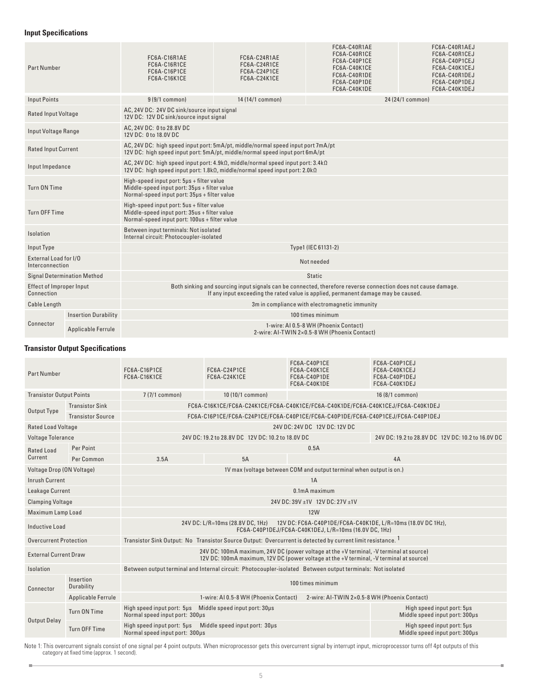## **Input Specifications**

| <b>Part Number</b>                       |                                    | FC6A-C16R1AE<br>FC6A-C16R1CE<br>FC6A-C16P1CE<br>FC6A-C16K1CE                                                                                                                                        | FC6A-C40R1AE<br>FC6A-C40R1CE<br>FC6A-C24R1AE<br>FC6A-C40P1CE<br>FC6A-C24R1CE<br>FC6A-C40K1CE<br>FC6A-C24P1CE<br>FC6A-C40R1DE<br>FC6A-C24K1CE<br>FC6A-C40P1DE<br>FC6A-C40K1DE    |                                                |                  |  |  |
|------------------------------------------|------------------------------------|-----------------------------------------------------------------------------------------------------------------------------------------------------------------------------------------------------|---------------------------------------------------------------------------------------------------------------------------------------------------------------------------------|------------------------------------------------|------------------|--|--|
| <b>Input Points</b>                      |                                    | $9(9/1$ common)                                                                                                                                                                                     | 14 (14/1 common)                                                                                                                                                                |                                                | 24 (24/1 common) |  |  |
| Rated Input Voltage                      |                                    | AC, 24V DC: 24V DC sink/source input signal<br>12V DC: 12V DC sink/source input signal                                                                                                              |                                                                                                                                                                                 |                                                |                  |  |  |
| Input Voltage Range                      |                                    | AC, 24V DC: 0 to 28.8V DC<br>12V DC: 0 to 18.0V DC                                                                                                                                                  |                                                                                                                                                                                 |                                                |                  |  |  |
| <b>Rated Input Current</b>               |                                    |                                                                                                                                                                                                     | AC, 24V DC: high speed input port: 5mA/pt, middle/normal speed input port 7mA/pt<br>12V DC: high speed input port: 5mA/pt, middle/normal speed input port 6mA/pt                |                                                |                  |  |  |
| Input Impedance                          |                                    |                                                                                                                                                                                                     | AC, 24V DC: high speed input port: 4.9k $\Omega$ , middle/normal speed input port: 3.4k $\Omega$<br>12V DC: high speed input port: 1.8kΩ, middle/normal speed input port: 2.0kΩ |                                                |                  |  |  |
| Turn ON Time                             |                                    | High-speed input port: 5µs + filter value<br>Middle-speed input port: 35µs + filter value<br>Normal-speed input port: 35µs + filter value                                                           |                                                                                                                                                                                 |                                                |                  |  |  |
| Turn OFF Time                            |                                    | High-speed input port: 5us + filter value<br>Middle-speed input port: 35us + filter value<br>Normal-speed input port: 100us + filter value                                                          |                                                                                                                                                                                 |                                                |                  |  |  |
| Isolation                                |                                    | Between input terminals: Not isolated<br>Internal circuit: Photocoupler-isolated                                                                                                                    |                                                                                                                                                                                 |                                                |                  |  |  |
| Input Type                               |                                    | Type1 (IEC 61131-2)                                                                                                                                                                                 |                                                                                                                                                                                 |                                                |                  |  |  |
| External Load for I/O<br>Interconnection |                                    |                                                                                                                                                                                                     |                                                                                                                                                                                 | Not needed                                     |                  |  |  |
|                                          | <b>Signal Determination Method</b> |                                                                                                                                                                                                     |                                                                                                                                                                                 | <b>Static</b>                                  |                  |  |  |
| Effect of Improper Input<br>Connection   |                                    | Both sinking and sourcing input signals can be connected, therefore reverse connection does not cause damage.<br>If any input exceeding the rated value is applied, permanent damage may be caused. |                                                                                                                                                                                 |                                                |                  |  |  |
| Cable Length                             |                                    |                                                                                                                                                                                                     |                                                                                                                                                                                 | 3m in compliance with electromagnetic immunity |                  |  |  |
|                                          | <b>Insertion Durability</b>        |                                                                                                                                                                                                     |                                                                                                                                                                                 | 100 times minimum                              |                  |  |  |
| Connector                                | Applicable Ferrule                 | 1-wire: AI 0.5-8 WH (Phoenix Contact)<br>2-wire: AI-TWIN 2×0.5-8 WH (Phoenix Contact)                                                                                                               |                                                                                                                                                                                 |                                                |                  |  |  |

## **Transistor Output Specifications**

Ű.

| <b>Part Number</b>                   |                          | FC6A-C16P1CE<br>FC6A-C16K1CE                                                                                                                                                       | FC6A-C24P1CE<br>FC6A-C24K1CE                      | FC6A-C40P1CE<br>FC6A-C40K1CE<br>FC6A-C40P1DE<br>FC6A-C40K1DE                    | FC6A-C40P1CEJ<br>FC6A-C40K1CEJ<br>FC6A-C40P1DEJ<br>FC6A-C40K1DEJ |  |  |
|--------------------------------------|--------------------------|------------------------------------------------------------------------------------------------------------------------------------------------------------------------------------|---------------------------------------------------|---------------------------------------------------------------------------------|------------------------------------------------------------------|--|--|
| <b>Transistor Output Points</b>      |                          | $7(7/1$ common)                                                                                                                                                                    | 10 (10/1 common)                                  |                                                                                 | 16 (8/1 common)                                                  |  |  |
|                                      | <b>Transistor Sink</b>   |                                                                                                                                                                                    |                                                   | FC6A-C16K1CE/FC6A-C24K1CE/FC6A-C40K1CE/FC6A-C40K1DE/FC6A-C40K1CEJ/FC6A-C40K1DEJ |                                                                  |  |  |
| Output Type                          | <b>Transistor Source</b> |                                                                                                                                                                                    |                                                   | FC6A-C16P1CE/FC6A-C24P1CE/FC6A-C40P1CE/FC6A-C40P1DE/FC6A-C40P1CEJ/FC6A-C40P1DEJ |                                                                  |  |  |
| <b>Rated Load Voltage</b>            |                          |                                                                                                                                                                                    |                                                   | 24V DC: 24V DC 12V DC: 12V DC                                                   |                                                                  |  |  |
| <b>Voltage Tolerance</b>             |                          |                                                                                                                                                                                    | 24V DC: 19.2 to 28.8V DC 12V DC: 10.2 to 18.0V DC |                                                                                 | 24V DC: 19.2 to 28.8V DC 12V DC: 10.2 to 16.0V DC                |  |  |
| <b>Rated Load</b>                    | Per Point                |                                                                                                                                                                                    |                                                   | 0.5A                                                                            |                                                                  |  |  |
| Current                              | Per Common               | 3.5A                                                                                                                                                                               | 5A                                                |                                                                                 | 4A                                                               |  |  |
| Voltage Drop (ON Voltage)            |                          |                                                                                                                                                                                    |                                                   | 1V max (voltage between COM and output terminal when output is on.)             |                                                                  |  |  |
| Inrush Current                       |                          | 1A                                                                                                                                                                                 |                                                   |                                                                                 |                                                                  |  |  |
| Leakage Current                      |                          | $0.1mA$ maximum                                                                                                                                                                    |                                                   |                                                                                 |                                                                  |  |  |
| <b>Clamping Voltage</b>              |                          | 24V DC: 39V ±1V 12V DC: 27V ±1V                                                                                                                                                    |                                                   |                                                                                 |                                                                  |  |  |
| Maximum Lamp Load                    |                          | <b>12W</b>                                                                                                                                                                         |                                                   |                                                                                 |                                                                  |  |  |
| <b>Inductive Load</b>                |                          | 24V DC: L/R=10ms (28.8V DC, 1Hz) 12V DC: FC6A-C40P1DE/FC6A-C40K1DE, L/R=10ms (18.0V DC 1Hz),<br>FC6A-C40P1DEJ/FC6A-C40K1DEJ, L/R=10ms (16.0V DC, 1Hz)                              |                                                   |                                                                                 |                                                                  |  |  |
| <b>Overcurrent Protection</b>        |                          | Transistor Sink Output: No Transistor Source Output: Overcurrent is detected by current limit resistance.                                                                          |                                                   |                                                                                 |                                                                  |  |  |
| <b>External Current Draw</b>         |                          | 24V DC: 100mA maximum, 24V DC (power voltage at the +V terminal, -V terminal at source)<br>12V DC: 100mA maximum, 12V DC (power voltage at the +V terminal, -V terminal at source) |                                                   |                                                                                 |                                                                  |  |  |
| Isolation                            |                          | Between output terminal and Internal circuit: Photocoupler-isolated Between output terminals: Not isolated                                                                         |                                                   |                                                                                 |                                                                  |  |  |
| Insertion<br>Durability<br>Connector |                          | 100 times minimum                                                                                                                                                                  |                                                   |                                                                                 |                                                                  |  |  |
|                                      | Applicable Ferrule       |                                                                                                                                                                                    | 1-wire: AI 0.5-8 WH (Phoenix Contact)             | 2-wire: AI-TWIN 2×0.5-8 WH (Phoenix Contact)                                    |                                                                  |  |  |
|                                      | Turn ON Time             | High speed input port: 5µs Middle speed input port: 30µs<br>Normal speed input port: 300µs                                                                                         |                                                   |                                                                                 | High speed input port: 5µs<br>Middle speed input port: 300µs     |  |  |
| Output Delay                         | Turn OFF Time            | High speed input port: 5µs Middle speed input port: 30µs<br>Normal speed input port: 300µs                                                                                         |                                                   |                                                                                 | High speed input port: 5µs<br>Middle speed input port: 300µs     |  |  |
|                                      |                          |                                                                                                                                                                                    |                                                   |                                                                                 |                                                                  |  |  |

Note 1: This overcurrent signals consist of one signal per 4 point outputs. When microprocessor gets this overcurrent signal by interrupt input, microprocessor turns off 4pt outputs of this category at fixed time (approx.

t,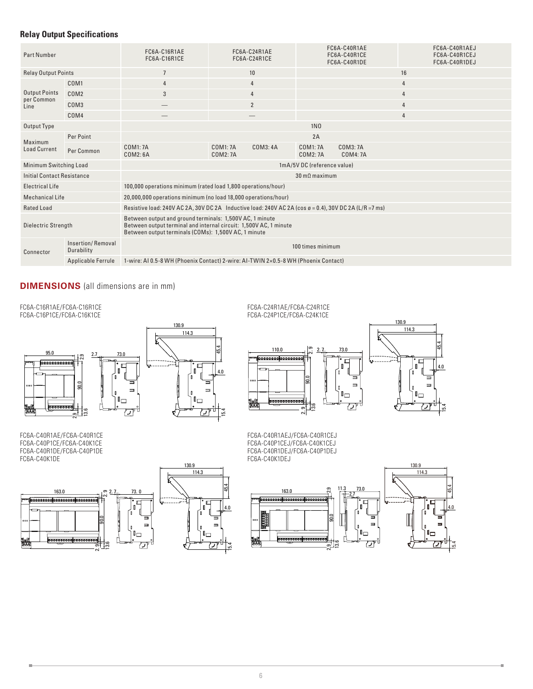## **Relay Output Specifications**

| <b>Part Number</b>                |                                        | FC6A-C16R1AE<br>FC6A-C16R1CE                                                                                                                                                          | FC6A-C24R1AE<br>FC6A-C24R1CE     |                      | FC6A-C40R1AE<br>FC6A-C40R1CE<br>FC6A-C40R1DE |                | FC6A-C40R1AEJ<br>FC6A-C40R1CEJ<br>FC6A-C40R1DEJ |  |
|-----------------------------------|----------------------------------------|---------------------------------------------------------------------------------------------------------------------------------------------------------------------------------------|----------------------------------|----------------------|----------------------------------------------|----------------|-------------------------------------------------|--|
| <b>Relay Output Points</b>        |                                        | $\overline{7}$                                                                                                                                                                        | 10                               |                      |                                              | 16             |                                                 |  |
|                                   | COM <sub>1</sub>                       | 4                                                                                                                                                                                     | $\overline{4}$                   |                      |                                              | $\overline{4}$ |                                                 |  |
| <b>Output Points</b>              | COM <sub>2</sub>                       | 3                                                                                                                                                                                     | 4                                |                      |                                              | $\overline{4}$ |                                                 |  |
| per Common<br>Line                | COM <sub>3</sub>                       |                                                                                                                                                                                       | $\overline{2}$                   |                      |                                              | $\overline{4}$ |                                                 |  |
|                                   | COM4                                   |                                                                                                                                                                                       |                                  |                      |                                              | 4              |                                                 |  |
| Output Type                       |                                        |                                                                                                                                                                                       |                                  | <b>1NO</b>           |                                              |                |                                                 |  |
| Maximum                           | Per Point                              |                                                                                                                                                                                       | 2A                               |                      |                                              |                |                                                 |  |
| <b>Load Current</b>               | Per Common                             | COM1: 7A<br>COM2:6A                                                                                                                                                                   | COM1: 7A<br>COM3: 4A<br>COM2: 7A | COM1: 7A<br>COM2: 7A | COM3: 7A<br>COM4: 7A                         |                |                                                 |  |
| Minimum Switching Load            |                                        | 1mA/5VDC (reference value)                                                                                                                                                            |                                  |                      |                                              |                |                                                 |  |
| <b>Initial Contact Resistance</b> |                                        | $30 \text{ mA}$ maximum                                                                                                                                                               |                                  |                      |                                              |                |                                                 |  |
| <b>Electrical Life</b>            |                                        | 100,000 operations minimum (rated load 1,800 operations/hour)                                                                                                                         |                                  |                      |                                              |                |                                                 |  |
| <b>Mechanical Life</b>            |                                        | 20,000,000 operations minimum (no load 18,000 operations/hour)                                                                                                                        |                                  |                      |                                              |                |                                                 |  |
| <b>Rated Load</b>                 |                                        | Resistive load: 240V AC 2A, 30V DC 2A Inductive load: 240V AC 2A (cos $\alpha$ = 0.4), 30V DC 2A (L/R =7 ms)                                                                          |                                  |                      |                                              |                |                                                 |  |
| Dielectric Strength               |                                        | Between output and ground terminals: 1,500V AC, 1 minute<br>Between output terminal and internal circuit: 1,500V AC, 1 minute<br>Between output terminals (COMs): 1,500V AC, 1 minute |                                  |                      |                                              |                |                                                 |  |
| Connector                         | <b>Insertion/Removal</b><br>Durability |                                                                                                                                                                                       |                                  | 100 times minimum    |                                              |                |                                                 |  |
|                                   | Applicable Ferrule                     | 1-wire: AI 0.5-8 WH (Phoenix Contact) 2-wire: AI-TWIN 2×0.5-8 WH (Phoenix Contact)                                                                                                    |                                  |                      |                                              |                |                                                 |  |

#### **DIMENSIONS** (all dimensions are in mm)



FC6A-C40R1AE/FC6A-C40R1CE FC6A-C40P1CE/FC6A-C40K1CE FC6A-C40R1DE/FC6A-C40P1DE FC6A-C40K1DE

j.

FC6A-C16R1AE/FC6A-C16R1CE



FC6A-C24R1AE/FC6A-C24R1CE FC6A-C24P1CE/FC6A-C24K1CE



45.4

4.0

15.4

t,

FC6A-C40R1AEJ/FC6A-C40R1CEJ FC6A-C40P1CEJ/FC6A-C40K1CEJ FC6A-C40R1DEJ/FC6A-C40P1DEJ FC6A-C40K1DEJ

45.4

4.0

15.4

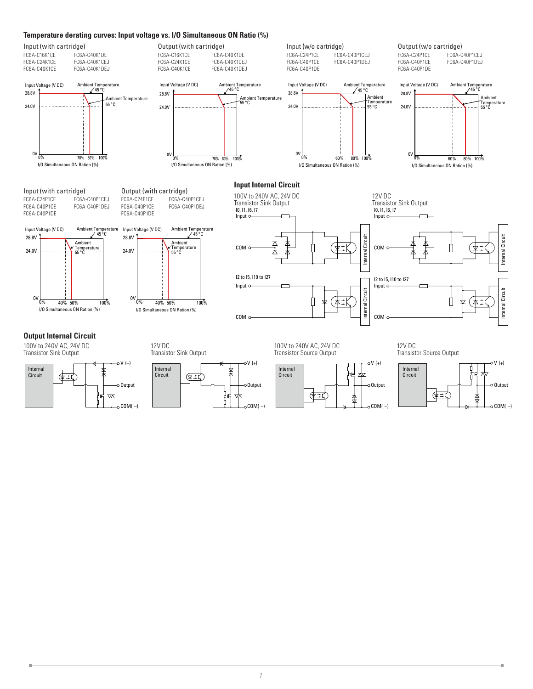

i.